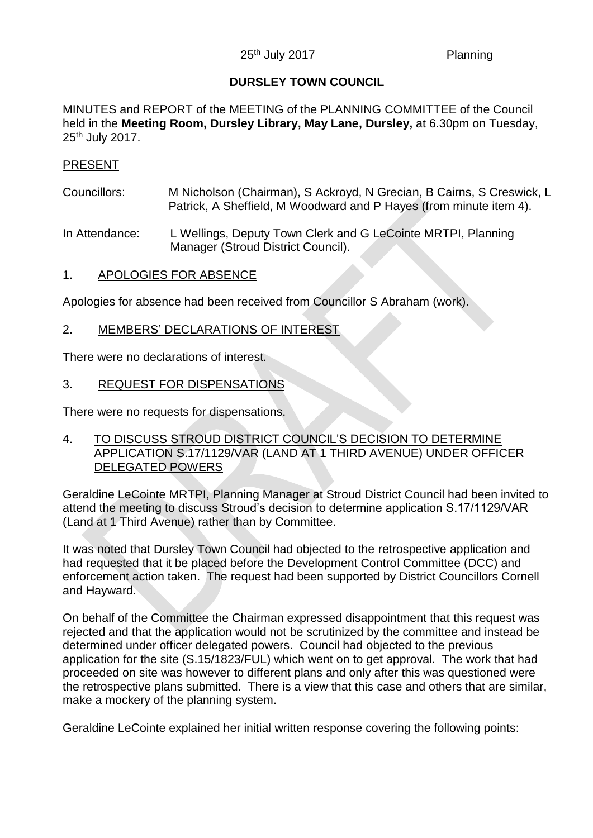### **DURSLEY TOWN COUNCIL**

MINUTES and REPORT of the MEETING of the PLANNING COMMITTEE of the Council held in the **Meeting Room, Dursley Library, May Lane, Dursley,** at 6.30pm on Tuesday, 25<sup>th</sup> July 2017.

#### PRESENT

Councillors: M Nicholson (Chairman), S Ackroyd, N Grecian, B Cairns, S Creswick, L Patrick, A Sheffield, M Woodward and P Hayes (from minute item 4).

In Attendance: L Wellings, Deputy Town Clerk and G LeCointe MRTPI, Planning Manager (Stroud District Council).

1. APOLOGIES FOR ABSENCE

Apologies for absence had been received from Councillor S Abraham (work).

2. MEMBERS' DECLARATIONS OF INTEREST

There were no declarations of interest.

3. REQUEST FOR DISPENSATIONS

There were no requests for dispensations.

4. TO DISCUSS STROUD DISTRICT COUNCIL'S DECISION TO DETERMINE APPLICATION S.17/1129/VAR (LAND AT 1 THIRD AVENUE) UNDER OFFICER DELEGATED POWERS

Geraldine LeCointe MRTPI, Planning Manager at Stroud District Council had been invited to attend the meeting to discuss Stroud's decision to determine application S.17/1129/VAR (Land at 1 Third Avenue) rather than by Committee.

It was noted that Dursley Town Council had objected to the retrospective application and had requested that it be placed before the Development Control Committee (DCC) and enforcement action taken. The request had been supported by District Councillors Cornell and Hayward.

On behalf of the Committee the Chairman expressed disappointment that this request was rejected and that the application would not be scrutinized by the committee and instead be determined under officer delegated powers. Council had objected to the previous application for the site (S.15/1823/FUL) which went on to get approval. The work that had proceeded on site was however to different plans and only after this was questioned were the retrospective plans submitted. There is a view that this case and others that are similar, make a mockery of the planning system.

Geraldine LeCointe explained her initial written response covering the following points: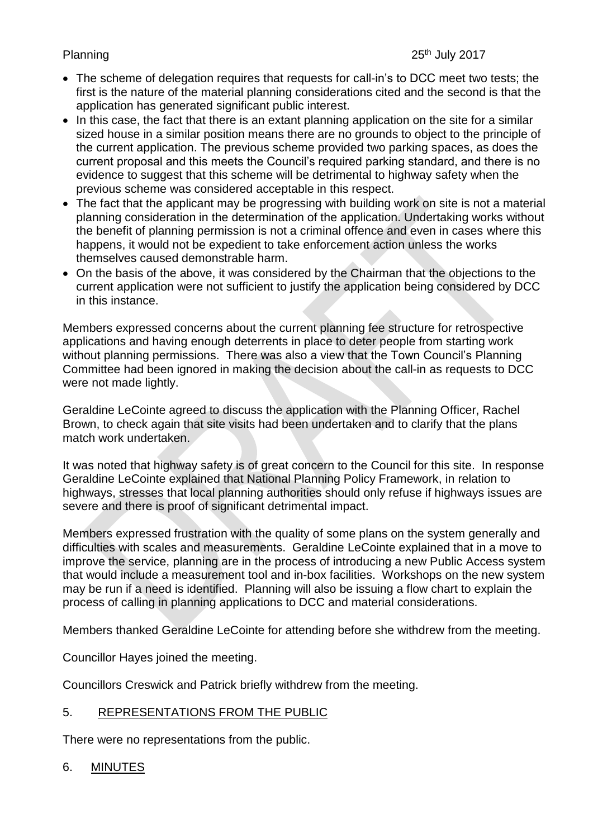## Planning

- The scheme of delegation requires that requests for call-in's to DCC meet two tests; the first is the nature of the material planning considerations cited and the second is that the application has generated significant public interest.
- In this case, the fact that there is an extant planning application on the site for a similar sized house in a similar position means there are no grounds to object to the principle of the current application. The previous scheme provided two parking spaces, as does the current proposal and this meets the Council's required parking standard, and there is no evidence to suggest that this scheme will be detrimental to highway safety when the previous scheme was considered acceptable in this respect.
- The fact that the applicant may be progressing with building work on site is not a material planning consideration in the determination of the application. Undertaking works without the benefit of planning permission is not a criminal offence and even in cases where this happens, it would not be expedient to take enforcement action unless the works themselves caused demonstrable harm.
- On the basis of the above, it was considered by the Chairman that the objections to the current application were not sufficient to justify the application being considered by DCC in this instance.

Members expressed concerns about the current planning fee structure for retrospective applications and having enough deterrents in place to deter people from starting work without planning permissions. There was also a view that the Town Council's Planning Committee had been ignored in making the decision about the call-in as requests to DCC were not made lightly.

Geraldine LeCointe agreed to discuss the application with the Planning Officer, Rachel Brown, to check again that site visits had been undertaken and to clarify that the plans match work undertaken.

It was noted that highway safety is of great concern to the Council for this site. In response Geraldine LeCointe explained that National Planning Policy Framework, in relation to highways, stresses that local planning authorities should only refuse if highways issues are severe and there is proof of significant detrimental impact.

Members expressed frustration with the quality of some plans on the system generally and difficulties with scales and measurements. Geraldine LeCointe explained that in a move to improve the service, planning are in the process of introducing a new Public Access system that would include a measurement tool and in-box facilities. Workshops on the new system may be run if a need is identified. Planning will also be issuing a flow chart to explain the process of calling in planning applications to DCC and material considerations.

Members thanked Geraldine LeCointe for attending before she withdrew from the meeting.

Councillor Hayes joined the meeting.

Councillors Creswick and Patrick briefly withdrew from the meeting.

## 5. REPRESENTATIONS FROM THE PUBLIC

There were no representations from the public.

### 6. MINUTES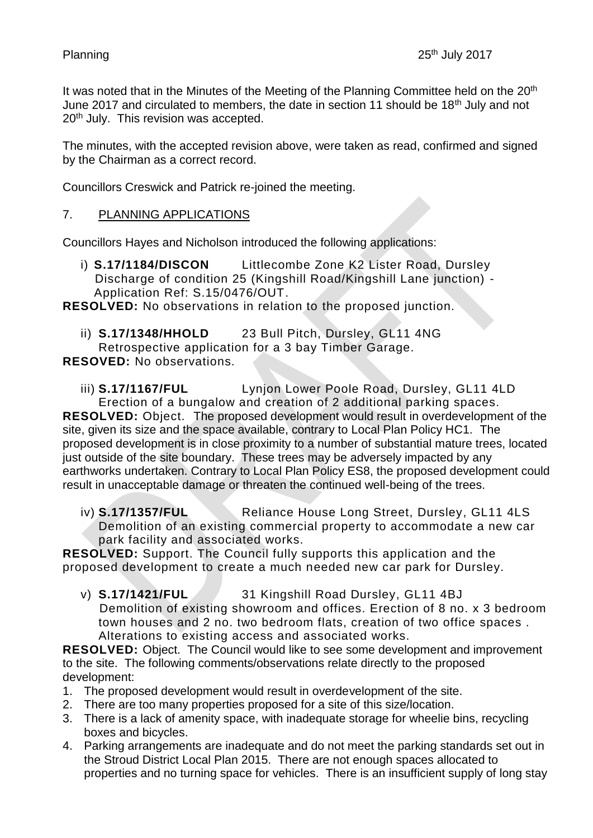It was noted that in the Minutes of the Meeting of the Planning Committee held on the 20<sup>th</sup> June 2017 and circulated to members, the date in section 11 should be 18<sup>th</sup> July and not 20<sup>th</sup> July. This revision was accepted.

The minutes, with the accepted revision above, were taken as read, confirmed and signed by the Chairman as a correct record.

Councillors Creswick and Patrick re-joined the meeting.

## 7. PLANNING APPLICATIONS

Councillors Hayes and Nicholson introduced the following applications:

i) **S.17/1184/DISCON** Littlecombe Zone K2 Lister Road, Dursley Discharge of condition 25 (Kingshill Road/Kingshill Lane junction) - Application Ref: S.15/0476/OUT.

**RESOLVED:** No observations in relation to the proposed junction.

- ii) **S.17/1348/HHOLD** 23 Bull Pitch, Dursley, GL11 4NG
- Retrospective application for a 3 bay Timber Garage.

**RESOVED:** No observations.

iii) **S.17/1167/FUL** Lynjon Lower Poole Road, Dursley, GL11 4LD Erection of a bungalow and creation of 2 additional parking spaces. **RESOLVED:** Object. The proposed development would result in overdevelopment of the site, given its size and the space available, contrary to Local Plan Policy HC1. The proposed development is in close proximity to a number of substantial mature trees, located just outside of the site boundary. These trees may be adversely impacted by any earthworks undertaken. Contrary to Local Plan Policy ES8, the proposed development could result in unacceptable damage or threaten the continued well-being of the trees.

iv) **S.17/1357/FUL** Reliance House Long Street, Dursley, GL11 4LS Demolition of an existing commercial property to accommodate a new car park facility and associated works.

**RESOLVED:** Support. The Council fully supports this application and the proposed development to create a much needed new car park for Dursley.

v) **S.17/1421/FUL** 31 Kingshill Road Dursley, GL11 4BJ Demolition of existing showroom and offices. Erection of 8 no. x 3 bedroom town houses and 2 no. two bedroom flats, creation of two office spaces . Alterations to existing access and associated works.

**RESOLVED:** Object.The Council would like to see some development and improvement to the site.The following comments/observations relate directly to the proposed development:

- 1. The proposed development would result in overdevelopment of the site.
- 2. There are too many properties proposed for a site of this size/location.
- 3. There is a lack of amenity space, with inadequate storage for wheelie bins, recycling boxes and bicycles.
- 4. Parking arrangements are inadequate and do not meet the parking standards set out in the Stroud District Local Plan 2015. There are not enough spaces allocated to properties and no turning space for vehicles. There is an insufficient supply of long stay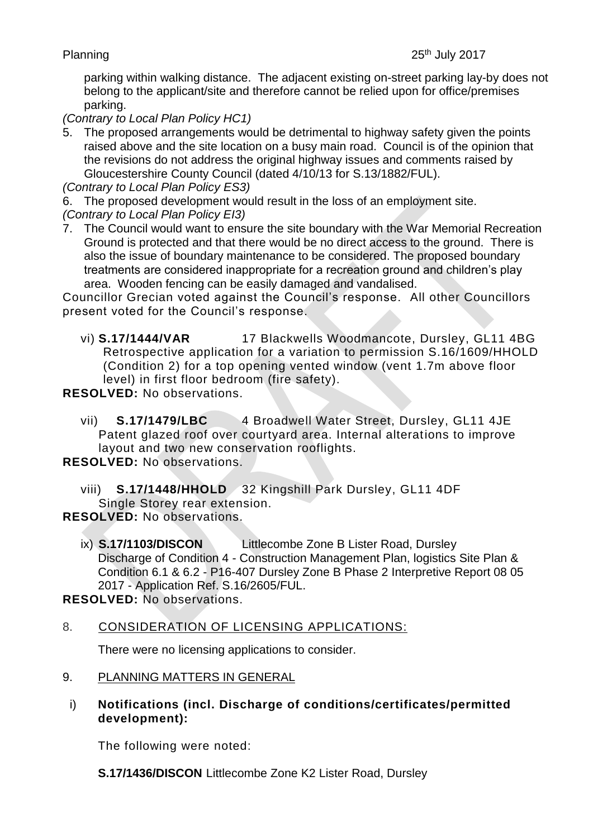parking within walking distance. The adjacent existing on-street parking lay-by does not belong to the applicant/site and therefore cannot be relied upon for office/premises parking.

*(Contrary to Local Plan Policy HC1)*

5. The proposed arrangements would be detrimental to highway safety given the points raised above and the site location on a busy main road. Council is of the opinion that the revisions do not address the original highway issues and comments raised by Gloucestershire County Council (dated 4/10/13 for S.13/1882/FUL).

*(Contrary to Local Plan Policy ES3)*

6. The proposed development would result in the loss of an employment site. *(Contrary to Local Plan Policy EI3)*

7. The Council would want to ensure the site boundary with the War Memorial Recreation Ground is protected and that there would be no direct access to the ground. There is also the issue of boundary maintenance to be considered. The proposed boundary treatments are considered inappropriate for a recreation ground and children's play area. Wooden fencing can be easily damaged and vandalised.

Councillor Grecian voted against the Council's response. All other Councillors present voted for the Council's response.

vi) **S.17/1444/VAR** 17 Blackwells Woodmancote, Dursley, GL11 4BG Retrospective application for a variation to permission S.16/1609/HHOLD (Condition 2) for a top opening vented window (vent 1.7m above floor level) in first floor bedroom (fire safety).

**RESOLVED:** No observations.

vii) **S.17/1479/LBC** 4 Broadwell Water Street, Dursley, GL11 4JE Patent glazed roof over courtyard area. Internal alterations to improve layout and two new conservation rooflights.

**RESOLVED:** No observations.

viii) **S.17/1448/HHOLD** 32 Kingshill Park Dursley, GL11 4DF Single Storey rear extension.

**RESOLVED:** No observations.

ix) **S.17/1103/DISCON** Littlecombe Zone B Lister Road, Dursley Discharge of Condition 4 - Construction Management Plan, logistics Site Plan & Condition 6.1 & 6.2 - P16-407 Dursley Zone B Phase 2 Interpretive Report 08 05 2017 - Application Ref. S.16/2605/FUL.

**RESOLVED:** No observations.

8. CONSIDERATION OF LICENSING APPLICATIONS:

There were no licensing applications to consider.

### 9. PLANNING MATTERS IN GENERAL

i) **Notifications (incl. Discharge of conditions/certificates/permitted development):** 

The following were noted:

**S.17/1436/DISCON** Littlecombe Zone K2 Lister Road, Dursley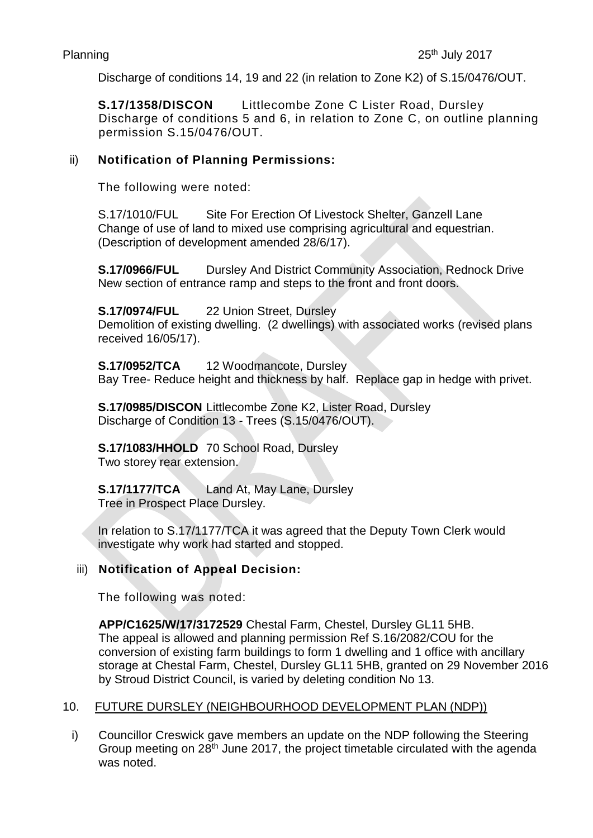Discharge of conditions 14, 19 and 22 (in relation to Zone K2) of S.15/0476/OUT.

**S.17/1358/DISCON** Littlecombe Zone C Lister Road, Dursley Discharge of conditions 5 and 6, in relation to Zone C, on outline planning permission S.15/0476/OUT.

## ii) **Notification of Planning Permissions:**

The following were noted:

S.17/1010/FUL Site For Erection Of Livestock Shelter, Ganzell Lane Change of use of land to mixed use comprising agricultural and equestrian. (Description of development amended 28/6/17).

**S.17/0966/FUL** Dursley And District Community Association, Rednock Drive New section of entrance ramp and steps to the front and front doors.

**S.17/0974/FUL** 22 Union Street, Dursley

Demolition of existing dwelling. (2 dwellings) with associated works (revised plans received 16/05/17).

**S.17/0952/TCA** 12 Woodmancote, Dursley Bay Tree- Reduce height and thickness by half. Replace gap in hedge with privet.

**S.17/0985/DISCON** Littlecombe Zone K2, Lister Road, Dursley Discharge of Condition 13 - Trees (S.15/0476/OUT).

**S.17/1083/HHOLD** 70 School Road, Dursley Two storey rear extension.

**S.17/1177/TCA** Land At, May Lane, Dursley Tree in Prospect Place Dursley.

In relation to S.17/1177/TCA it was agreed that the Deputy Town Clerk would investigate why work had started and stopped.

## iii) **Notification of Appeal Decision:**

The following was noted:

**APP/C1625/W/17/3172529** Chestal Farm, Chestel, Dursley GL11 5HB. The appeal is allowed and planning permission Ref S.16/2082/COU for the conversion of existing farm buildings to form 1 dwelling and 1 office with ancillary storage at Chestal Farm, Chestel, Dursley GL11 5HB, granted on 29 November 2016 by Stroud District Council, is varied by deleting condition No 13.

## 10. FUTURE DURSLEY (NEIGHBOURHOOD DEVELOPMENT PLAN (NDP))

i) Councillor Creswick gave members an update on the NDP following the Steering Group meeting on 28<sup>th</sup> June 2017, the project timetable circulated with the agenda was noted.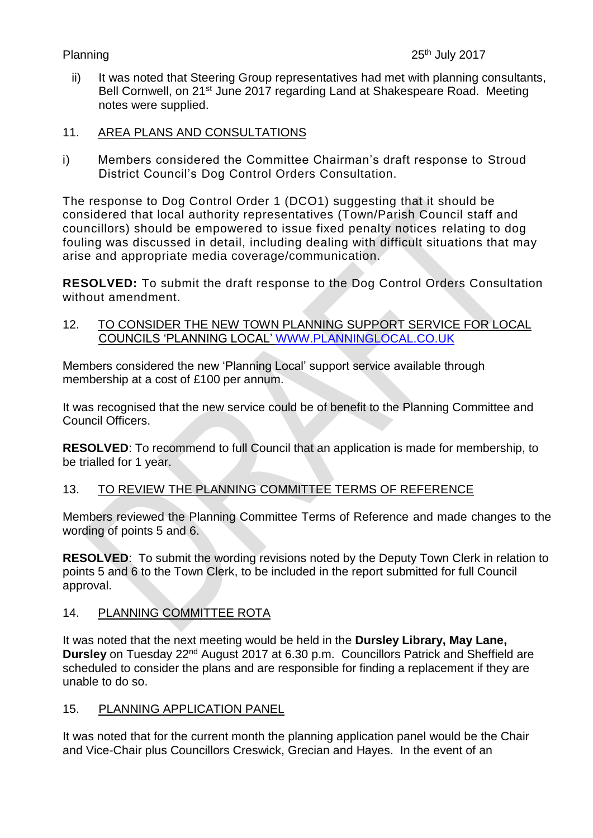## Planning

- ii) It was noted that Steering Group representatives had met with planning consultants, Bell Cornwell, on 21<sup>st</sup> June 2017 regarding Land at Shakespeare Road. Meeting notes were supplied.
- 11. AREA PLANS AND CONSULTATIONS
- i) Members considered the Committee Chairman's draft response to Stroud District Council's Dog Control Orders Consultation.

The response to Dog Control Order 1 (DCO1) suggesting that it should be considered that local authority representatives (Town/Parish Council staff and councillors) should be empowered to issue fixed penalty notices relating to dog fouling was discussed in detail, including dealing with difficult situations that may arise and appropriate media coverage/communication.

**RESOLVED:** To submit the draft response to the Dog Control Orders Consultation without amendment.

12. TO CONSIDER THE NEW TOWN PLANNING SUPPORT SERVICE FOR LOCAL COUNCILS 'PLANNING LOCAL' [WWW.PLANNINGLOCAL.CO.UK](http://www.planninglocal.co.uk/)

Members considered the new 'Planning Local' support service available through membership at a cost of £100 per annum.

It was recognised that the new service could be of benefit to the Planning Committee and Council Officers.

**RESOLVED**: To recommend to full Council that an application is made for membership, to be trialled for 1 year.

## 13. TO REVIEW THE PLANNING COMMITTEE TERMS OF REFERENCE

Members reviewed the Planning Committee Terms of Reference and made changes to the wording of points 5 and 6.

**RESOLVED**: To submit the wording revisions noted by the Deputy Town Clerk in relation to points 5 and 6 to the Town Clerk, to be included in the report submitted for full Council approval.

## 14. PLANNING COMMITTEE ROTA

It was noted that the next meeting would be held in the **Dursley Library, May Lane, Dursley** on Tuesday 22<sup>nd</sup> August 2017 at 6.30 p.m. Councillors Patrick and Sheffield are scheduled to consider the plans and are responsible for finding a replacement if they are unable to do so.

## 15. PLANNING APPLICATION PANEL

It was noted that for the current month the planning application panel would be the Chair and Vice-Chair plus Councillors Creswick, Grecian and Hayes. In the event of an